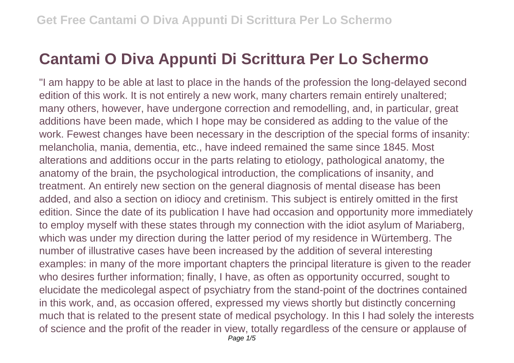## **Cantami O Diva Appunti Di Scrittura Per Lo Schermo**

"I am happy to be able at last to place in the hands of the profession the long-delayed second edition of this work. It is not entirely a new work, many charters remain entirely unaltered; many others, however, have undergone correction and remodelling, and, in particular, great additions have been made, which I hope may be considered as adding to the value of the work. Fewest changes have been necessary in the description of the special forms of insanity: melancholia, mania, dementia, etc., have indeed remained the same since 1845. Most alterations and additions occur in the parts relating to etiology, pathological anatomy, the anatomy of the brain, the psychological introduction, the complications of insanity, and treatment. An entirely new section on the general diagnosis of mental disease has been added, and also a section on idiocy and cretinism. This subject is entirely omitted in the first edition. Since the date of its publication I have had occasion and opportunity more immediately to employ myself with these states through my connection with the idiot asylum of Mariaberg, which was under my direction during the latter period of my residence in Würtemberg. The number of illustrative cases have been increased by the addition of several interesting examples: in many of the more important chapters the principal literature is given to the reader who desires further information; finally, I have, as often as opportunity occurred, sought to elucidate the medicolegal aspect of psychiatry from the stand-point of the doctrines contained in this work, and, as occasion offered, expressed my views shortly but distinctly concerning much that is related to the present state of medical psychology. In this I had solely the interests of science and the profit of the reader in view, totally regardless of the censure or applause of Page  $1/5$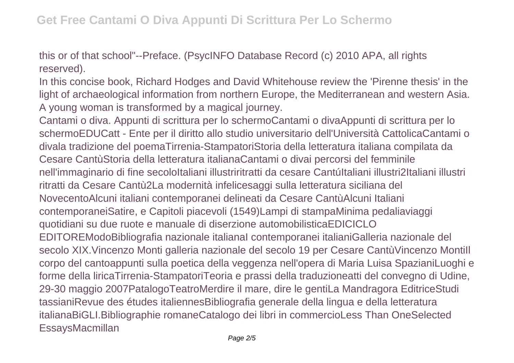this or of that school"--Preface. (PsycINFO Database Record (c) 2010 APA, all rights reserved).

In this concise book, Richard Hodges and David Whitehouse review the 'Pirenne thesis' in the light of archaeological information from northern Europe, the Mediterranean and western Asia. A young woman is transformed by a magical journey.

Cantami o diva. Appunti di scrittura per lo schermoCantami o divaAppunti di scrittura per lo schermoEDUCatt - Ente per il diritto allo studio universitario dell'Università CattolicaCantami o divala tradizione del poemaTirrenia-StampatoriStoria della letteratura italiana compilata da Cesare CantùStoria della letteratura italianaCantami o divai percorsi del femminile nell'immaginario di fine secoloItaliani illustriritratti da cesare CantúItaliani illustri2Italiani illustri ritratti da Cesare Cantù2La modernità infelicesaggi sulla letteratura siciliana del NovecentoAlcuni italiani contemporanei delineati da Cesare CantùAlcuni Italiani contemporaneiSatire, e Capitoli piacevoli (1549)Lampi di stampaMinima pedaliaviaggi quotidiani su due ruote e manuale di diserzione automobilisticaEDICICLO EDITOREModoBibliografia nazionale italianaI contemporanei italianiGalleria nazionale del secolo XIX.Vincenzo Monti galleria nazionale del secolo 19 per Cesare CantùVincenzo MontiIl corpo del cantoappunti sulla poetica della veggenza nell'opera di Maria Luisa SpazianiLuoghi e forme della liricaTirrenia-StampatoriTeoria e prassi della traduzioneatti del convegno di Udine, 29-30 maggio 2007PatalogoTeatroMerdire il mare, dire le gentiLa Mandragora EditriceStudi tassianiRevue des études italiennesBibliografia generale della lingua e della letteratura italianaBiGLI.Bibliographie romaneCatalogo dei libri in commercioLess Than OneSelected EssaysMacmillan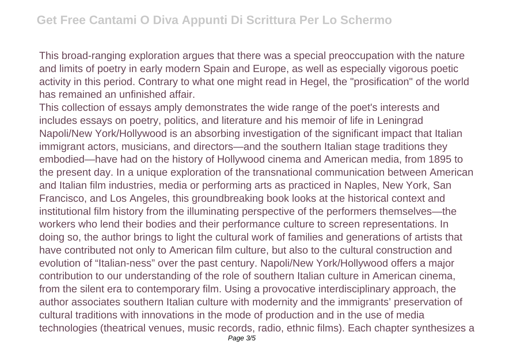This broad-ranging exploration argues that there was a special preoccupation with the nature and limits of poetry in early modern Spain and Europe, as well as especially vigorous poetic activity in this period. Contrary to what one might read in Hegel, the "prosification" of the world has remained an unfinished affair.

This collection of essays amply demonstrates the wide range of the poet's interests and includes essays on poetry, politics, and literature and his memoir of life in Leningrad Napoli/New York/Hollywood is an absorbing investigation of the significant impact that Italian immigrant actors, musicians, and directors—and the southern Italian stage traditions they embodied—have had on the history of Hollywood cinema and American media, from 1895 to the present day. In a unique exploration of the transnational communication between American and Italian film industries, media or performing arts as practiced in Naples, New York, San Francisco, and Los Angeles, this groundbreaking book looks at the historical context and institutional film history from the illuminating perspective of the performers themselves—the workers who lend their bodies and their performance culture to screen representations. In doing so, the author brings to light the cultural work of families and generations of artists that have contributed not only to American film culture, but also to the cultural construction and evolution of "Italian-ness" over the past century. Napoli/New York/Hollywood offers a major contribution to our understanding of the role of southern Italian culture in American cinema, from the silent era to contemporary film. Using a provocative interdisciplinary approach, the author associates southern Italian culture with modernity and the immigrants' preservation of cultural traditions with innovations in the mode of production and in the use of media technologies (theatrical venues, music records, radio, ethnic films). Each chapter synthesizes a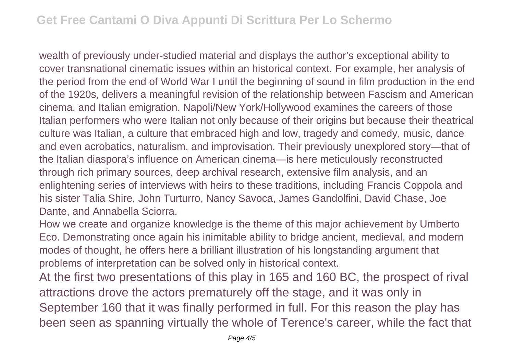wealth of previously under-studied material and displays the author's exceptional ability to cover transnational cinematic issues within an historical context. For example, her analysis of the period from the end of World War I until the beginning of sound in film production in the end of the 1920s, delivers a meaningful revision of the relationship between Fascism and American cinema, and Italian emigration. Napoli/New York/Hollywood examines the careers of those Italian performers who were Italian not only because of their origins but because their theatrical culture was Italian, a culture that embraced high and low, tragedy and comedy, music, dance and even acrobatics, naturalism, and improvisation. Their previously unexplored story—that of the Italian diaspora's influence on American cinema—is here meticulously reconstructed through rich primary sources, deep archival research, extensive film analysis, and an enlightening series of interviews with heirs to these traditions, including Francis Coppola and his sister Talia Shire, John Turturro, Nancy Savoca, James Gandolfini, David Chase, Joe Dante, and Annabella Sciorra.

How we create and organize knowledge is the theme of this major achievement by Umberto Eco. Demonstrating once again his inimitable ability to bridge ancient, medieval, and modern modes of thought, he offers here a brilliant illustration of his longstanding argument that problems of interpretation can be solved only in historical context.

At the first two presentations of this play in 165 and 160 BC, the prospect of rival attractions drove the actors prematurely off the stage, and it was only in September 160 that it was finally performed in full. For this reason the play has been seen as spanning virtually the whole of Terence's career, while the fact that